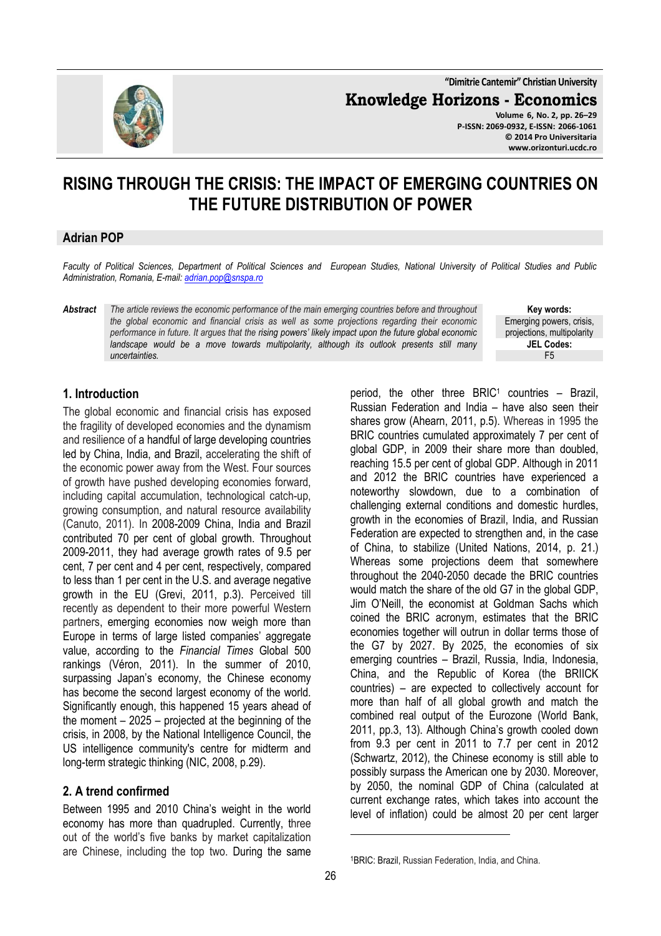**"Dimitrie Cantemir" Christian University**

**Knowledge Horizons - Economics**

**Volume 6, No. 2, pp. 26–29 P-ISSN: 2069-0932, E-ISSN: 2066-1061 © 2014 Pro Universitaria www.orizonturi.ucdc.ro**

# **RISING THROUGH THE CRISIS: THE IMPACT OF EMERGING COUNTRIES ON THE FUTURE DISTRIBUTION OF POWER**

#### **Adrian POP**

*Faculty of Political Sciences, Department of Political Sciences and European Studies, National University of Political Studies and Public Administration, Romania, E-mail: adrian.pop@snspa.ro* 

*Abstract The article reviews the economic performance of the main emerging countries before and throughout the global economic and financial crisis as well as some projections regarding their economic performance in future. It argues that the rising powers' likely impact upon the future global economic*  landscape would be a move towards multipolarity, although its outlook presents still many *uncertainties.*

**Key words:** Emerging powers, crisis, projections, multipolarity **JEL Codes:** F5

# **1. Introduction**

The global economic and financial crisis has exposed the fragility of developed economies and the dynamism and resilience of a handful of large developing countries led by China, India, and Brazil, accelerating the shift of the economic power away from the West. Four sources of growth have pushed developing economies forward, including capital accumulation, technological catch-up, growing consumption, and natural resource availability (Canuto, 2011). In 2008-2009 China, India and Brazil contributed 70 per cent of global growth. Throughout 2009-2011, they had average growth rates of 9.5 per cent, 7 per cent and 4 per cent, respectively, compared to less than 1 per cent in the U.S. and average negative growth in the EU (Grevi, 2011, p.3). Perceived till recently as dependent to their more powerful Western partners, emerging economies now weigh more than Europe in terms of large listed companies' aggregate value, according to the *Financial Times* Global 500 rankings (Véron, 2011). In the summer of 2010, surpassing Japan's economy, the Chinese economy has become the second largest economy of the world. Significantly enough, this happened 15 years ahead of the moment – 2025 – projected at the beginning of the crisis, in 2008, by the National Intelligence Council, the US intelligence community's centre for midterm and long-term strategic thinking (NIC, 2008, p.29).

#### **2. A trend confirmed**

Between 1995 and 2010 China's weight in the world economy has more than quadrupled. Currently, three out of the world's five banks by market capitalization are Chinese, including the top two. During the same

period, the other three BRIC<sup>1</sup> countries - Brazil, Russian Federation and India – have also seen their shares grow (Ahearn, 2011, p.5). Whereas in 1995 the BRIC countries cumulated approximately 7 per cent of global GDP, in 2009 their share more than doubled, reaching 15.5 per cent of global GDP. Although in 2011 and 2012 the BRIC countries have experienced a noteworthy slowdown, due to a combination of challenging external conditions and domestic hurdles, growth in the economies of Brazil, India, and Russian Federation are expected to strengthen and, in the case of China, to stabilize (United Nations, 2014, p. 21.) Whereas some projections deem that somewhere throughout the 2040-2050 decade the BRIC countries would match the share of the old G7 in the global GDP, Jim O'Neill, the economist at Goldman Sachs which coined the BRIC acronym, estimates that the BRIC economies together will outrun in dollar terms those of the G7 by 2027. By 2025, the economies of six emerging countries – Brazil, Russia, India, Indonesia, China, and the Republic of Korea (the BRIICK countries) – are expected to collectively account for more than half of all global growth and match the combined real output of the Eurozone (World Bank, 2011, pp.3, 13). Although China's growth cooled down from 9.3 per cent in 2011 to 7.7 per cent in 2012 (Schwartz, 2012), the Chinese economy is still able to possibly surpass the American one by 2030. Moreover, by 2050, the nominal GDP of China (calculated at current exchange rates, which takes into account the level of inflation) could be almost 20 per cent larger

 $\overline{a}$ 



<sup>1</sup>BRIC: Brazil, Russian Federation, India, and China.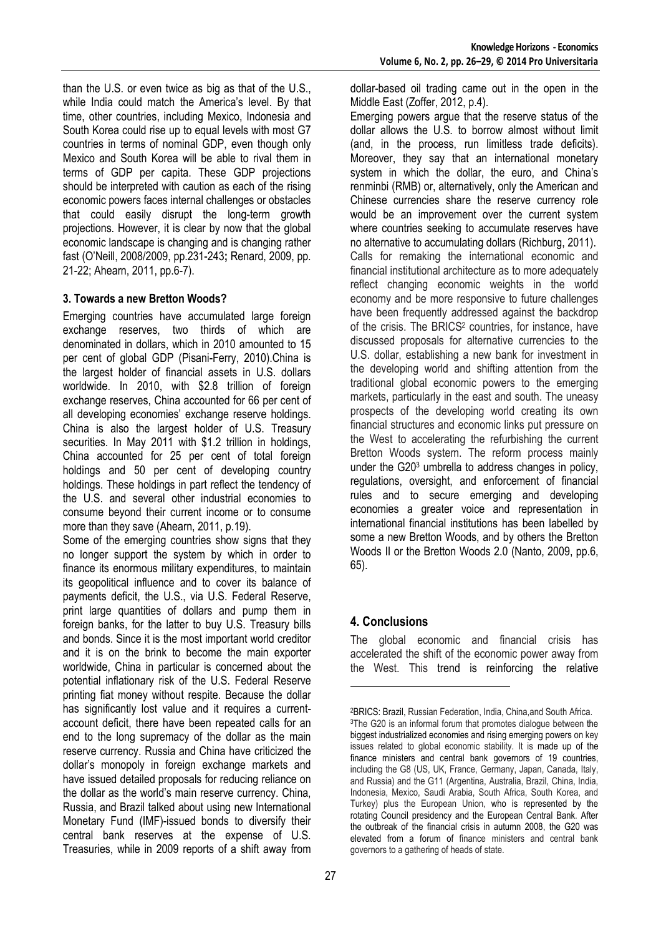than the U.S. or even twice as big as that of the U.S., while India could match the America's level. By that time, other countries, including Mexico, Indonesia and South Korea could rise up to equal levels with most G7 countries in terms of nominal GDP, even though only Mexico and South Korea will be able to rival them in terms of GDP per capita. These GDP projections should be interpreted with caution as each of the rising economic powers faces internal challenges or obstacles that could easily disrupt the long-term growth projections. However, it is clear by now that the global economic landscape is changing and is changing rather fast (O'Neill, 2008/2009, pp.231-243**;** Renard, 2009, pp. 21-22; Ahearn, 2011, pp.6-7).

### **3. Towards a new Bretton Woods?**

Emerging countries have accumulated large foreign exchange reserves, two thirds of which are denominated in dollars, which in 2010 amounted to 15 per cent of global GDP (Pisani-Ferry, 2010).China is the largest holder of financial assets in U.S. dollars worldwide. In 2010, with \$2.8 trillion of foreign exchange reserves, China accounted for 66 per cent of all developing economies' exchange reserve holdings. China is also the largest holder of U.S. Treasury securities. In May 2011 with \$1.2 trillion in holdings, China accounted for 25 per cent of total foreign holdings and 50 per cent of developing country holdings. These holdings in part reflect the tendency of the U.S. and several other industrial economies to consume beyond their current income or to consume more than they save (Ahearn, 2011, p.19).

Some of the emerging countries show signs that they no longer support the system by which in order to finance its enormous military expenditures, to maintain its geopolitical influence and to cover its balance of payments deficit, the U.S., via U.S. Federal Reserve, print large quantities of dollars and pump them in foreign banks, for the latter to buy U.S. Treasury bills and bonds. Since it is the most important world creditor and it is on the brink to become the main exporter worldwide, China in particular is concerned about the potential inflationary risk of the U.S. Federal Reserve printing fiat money without respite. Because the dollar has significantly lost value and it requires a currentaccount deficit, there have been repeated calls for an end to the long supremacy of the dollar as the main reserve currency. Russia and China have criticized the dollar's monopoly in foreign exchange markets and have issued detailed proposals for reducing reliance on the dollar as the world's main reserve currency. China, Russia, and Brazil talked about using new International Monetary Fund (IMF)-issued bonds to diversify their central bank reserves at the expense of U.S. Treasuries, while in 2009 reports of a shift away from

dollar-based oil trading came out in the open in the Middle East (Zoffer, 2012, p.4).

Emerging powers argue that the reserve status of the dollar allows the U.S. to borrow almost without limit (and, in the process, run limitless trade deficits). Moreover, they say that an international monetary system in which the dollar, the euro, and China's renminbi (RMB) or, alternatively, only the American and Chinese currencies share the reserve currency role would be an improvement over the current system where countries seeking to accumulate reserves have no alternative to accumulating dollars (Richburg, 2011). Calls for remaking the international economic and financial institutional architecture as to more adequately reflect changing economic weights in the world economy and be more responsive to future challenges have been frequently addressed against the backdrop of the crisis. The BRICS<sup>2</sup> countries, for instance, have discussed proposals for alternative currencies to the U.S. dollar, establishing a new bank for investment in the developing world and shifting attention from the traditional global economic powers to the emerging markets, particularly in the east and south. The uneasy prospects of the developing world creating its own financial structures and economic links put pressure on the West to accelerating the refurbishing the current Bretton Woods system. The reform process mainly under the G20<sup>3</sup> umbrella to address changes in policy, regulations, oversight, and enforcement of financial rules and to secure emerging and developing economies a greater voice and representation in international financial institutions has been labelled by some a new Bretton Woods, and by others the Bretton Woods II or the Bretton Woods 2.0 (Nanto, 2009, pp.6, 65).

# **4. Conclusions**

l

The global economic and financial crisis has accelerated the shift of the economic power away from the West. This trend is reinforcing the relative

<sup>2</sup>BRICS: Brazil, Russian Federation, India, China,and South Africa. <sup>3</sup>The G20 is an informal forum that promotes dialogue between the biggest industrialized economies and rising emerging powers on key issues related to global economic stability. It is made up of the finance ministers and central bank governors of 19 countries, including the G8 (US, UK, France, Germany, Japan, Canada, Italy, and Russia) and the G11 (Argentina, Australia, Brazil, China, India, Indonesia, Mexico, Saudi Arabia, South Africa, South Korea, and Turkey) plus the European Union, who is represented by the rotating Council presidency and the European Central Bank. After the outbreak of the financial crisis in autumn 2008, the G20 was elevated from a forum of finance ministers and central bank governors to a gathering of heads of state.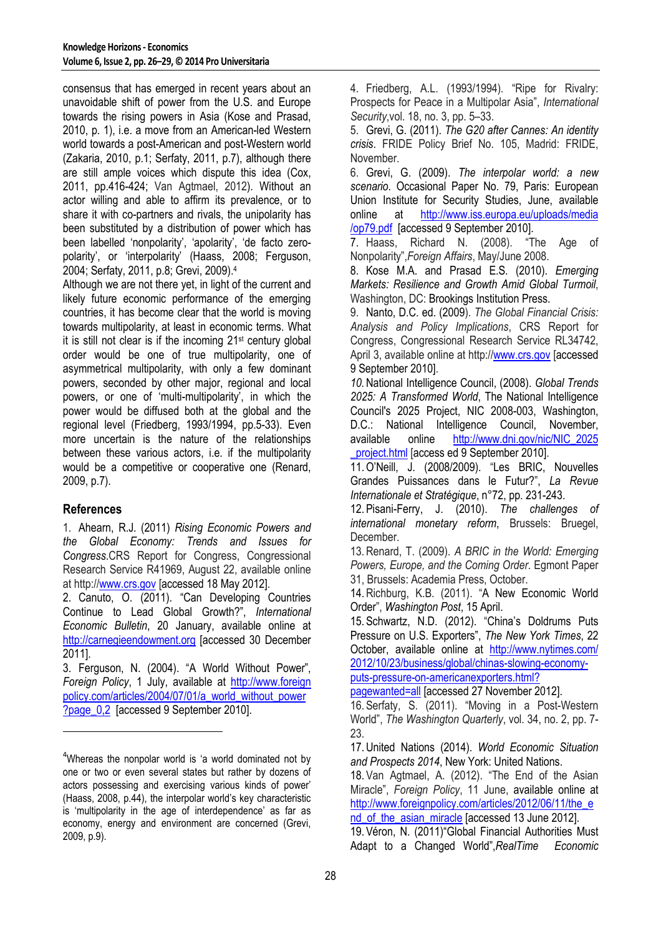consensus that has emerged in recent years about an unavoidable shift of power from the U.S. and Europe towards the rising powers in Asia (Kose and Prasad, 2010, p. 1), i.e. a move from an American-led Western world towards a post-American and post-Western world (Zakaria, 2010, p.1; Serfaty, 2011, p.7), although there are still ample voices which dispute this idea (Cox, 2011, pp.416-424; Van Agtmael, 2012). Without an actor willing and able to affirm its prevalence, or to share it with co-partners and rivals, the unipolarity has been substituted by a distribution of power which has been labelled 'nonpolarity', 'apolarity', 'de facto zeropolarity', or 'interpolarity' (Haass, 2008; Ferguson, 2004; Serfaty, 2011, p.8; Grevi, 2009).<sup>4</sup>

Although we are not there yet, in light of the current and likely future economic performance of the emerging countries, it has become clear that the world is moving towards multipolarity, at least in economic terms. What it is still not clear is if the incoming 21st century global order would be one of true multipolarity, one of asymmetrical multipolarity, with only a few dominant powers, seconded by other major, regional and local powers, or one of 'multi-multipolarity', in which the power would be diffused both at the global and the regional level (Friedberg, 1993/1994, pp.5-33). Even more uncertain is the nature of the relationships between these various actors, i.e. if the multipolarity would be a competitive or cooperative one (Renard, 2009, p.7).

# **References**

l

1. Ahearn, R.J. (2011) *Rising Economic Powers and the Global Economy: Trends and Issues for Congress*.CRS Report for Congress, Congressional Research Service R41969, August 22, available online at http://www.crs.gov [accessed 18 May 2012].

2. Canuto, O. (2011). "Can Developing Countries Continue to Lead Global Growth?", *International Economic Bulletin*, 20 January, available online at http://carnegieendowment.org [accessed 30 December 2011].

3. Ferguson, N. (2004). "A World Without Power", *Foreign Policy*, 1 July, available at http://www.foreign policy.com/articles/2004/07/01/a\_world\_without\_power ?page\_0,2 [accessed 9 September 2010].

4. Friedberg, A.L. (1993/1994). "Ripe for Rivalry: Prospects for Peace in a Multipolar Asia", *International Security*,vol. 18, no. 3, pp. 5–33.

5. Grevi, G. (2011). *The G20 after Cannes: An identity crisis*. FRIDE Policy Brief No. 105, Madrid: FRIDE, November.

6. Grevi, G. (2009). *The interpolar world: a new scenario*. Occasional Paper No. 79, Paris: European Union Institute for Security Studies, June, available online at http://www.iss.europa.eu/uploads/media /op79.pdf [accessed 9 September 2010].

7. Haass, Richard N. (2008). "The Age of Nonpolarity",*Foreign Affairs*, May/June 2008.

8. Kose M.A. and Prasad E.S. (2010). *Emerging Markets: Resilience and Growth Amid Global Turmoil*, Washington, DC: Brookings Institution Press.

9. Nanto, D.C. ed. (2009). *The Global Financial Crisis: Analysis and Policy Implications*, CRS Report for Congress, Congressional Research Service RL34742, April 3, available online at http://www.crs.gov [accessed] 9 September 2010].

*10.*National Intelligence Council, (2008). *Global Trends 2025: A Transformed World*, The National Intelligence Council's 2025 Project, NIC 2008-003, Washington, D.C.: National Intelligence Council, November, available online http://www.dni.gov/nic/NIC\_2025 project.html [access ed 9 September 2010].

11.O'Neill, J. (2008/2009). "Les BRIC, Nouvelles Grandes Puissances dans le Futur?", *La Revue Internationale et Stratégique*, n°72, pp. 231-243.

12. Pisani-Ferry, J. (2010). *The challenges of international monetary reform*, Brussels: Bruegel, December.

13.Renard, T. (2009). *A BRIC in the World: Emerging Powers, Europe, and the Coming Order*. Egmont Paper 31, Brussels: Academia Press, October.

14.Richburg, K.B. (2011). "A New Economic World Order", *Washington Post*, 15 April.

15. Schwartz, N.D. (2012). "China's Doldrums Puts Pressure on U.S. Exporters", *The New York Times*, 22 October, available online at http://www.nytimes.com/ 2012/10/23/business/global/chinas-slowing-economyputs-pressure-on-americanexporters.html?

pagewanted=all [accessed 27 November 2012].

16. Serfaty, S. (2011). "Moving in a Post-Western World", *The Washington Quarterly*, vol. 34, no. 2, pp. 7- 23.

17.United Nations (2014). *World Economic Situation and Prospects 2014*, New York: United Nations.

18. Van Agtmael, A. (2012). "The End of the Asian Miracle", *Foreign Policy*, 11 June, available online at http://www.foreignpolicy.com/articles/2012/06/11/the\_e nd\_of\_the\_asian\_miracle [accessed 13 June 2012].

19. Véron, N. (2011)"Global Financial Authorities Must Adapt to a Changed World",*RealTime Economic* 

<sup>&</sup>lt;sup>4</sup>Whereas the nonpolar world is 'a world dominated not by one or two or even several states but rather by dozens of actors possessing and exercising various kinds of power' (Haass, 2008, p.44), the interpolar world's key characteristic is 'multipolarity in the age of interdependence' as far as economy, energy and environment are concerned (Grevi, 2009, p.9).